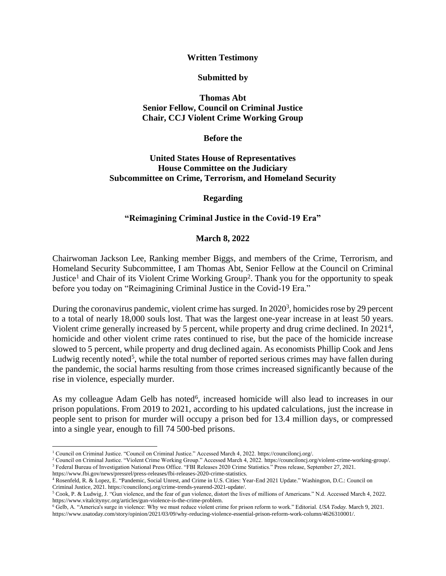**Written Testimony**

**Submitted by**

**Thomas Abt Senior Fellow, Council on Criminal Justice Chair, CCJ Violent Crime Working Group**

**Before the**

**United States House of Representatives House Committee on the Judiciary Subcommittee on Crime, Terrorism, and Homeland Security**

**Regarding**

### **"Reimagining Criminal Justice in the Covid-19 Era"**

#### **March 8, 2022**

Chairwoman Jackson Lee, Ranking member Biggs, and members of the Crime, Terrorism, and Homeland Security Subcommittee, I am Thomas Abt, Senior Fellow at the [Council on Criminal](https://counciloncj.org/)  [Justice](https://counciloncj.org/)<sup>1</sup> and Chair of its [Violent Crime Working Group](https://counciloncj.org/violent-crime-working-group/)<sup>2</sup>. Thank you for the opportunity to speak before you today on "Reimagining Criminal Justice in the Covid-19 Era."

During the coronavirus pandemic, violent crime has surged. In [2020](https://www.fbi.gov/news/pressrel/press-releases/fbi-releases-2020-crime-statistics)<sup>3</sup>, homicides rose by 29 percent to a total of nearly 18,000 souls lost. That was the largest one-year increase in at least 50 years. Violent crime generally increased by 5 percent, while property and drug crime declined. In [2021](https://counciloncj.org/crime-trends-yearend-2021-update/)<sup>4</sup>, homicide and other violent crime rates continued to rise, but the pace of the homicide increase slowed to 5 percent, while property and drug declined again. As economists Phillip Cook and Jens Ludwig recently [noted](https://www.vitalcitynyc.org/articles/gun-violence-is-the-crime-problem)<sup>5</sup>, while the total number of reported serious crimes may have fallen during the pandemic, the social harms resulting from those crimes increased significantly because of the rise in violence, especially murder.

As my colleague Adam Gelb has [noted](https://www.usatoday.com/story/opinion/2021/03/09/why-reducing-violence-essential-prison-reform-work-column/4626310001/)<sup>6</sup>, increased homicide will also lead to increases in our prison populations. From 2019 to 2021, according to his updated calculations, just the increase in people sent to prison for murder will occupy a prison bed for 13.4 million days, or compressed into a single year, enough to fill 74 500-bed prisons.

<sup>1</sup> Council on Criminal Justice. "Council on Criminal Justice." Accessed March 4, 2022. https://counciloncj.org/.

<sup>2</sup> Council on Criminal Justice. "Violent Crime Working Group." Accessed March 4, 2022. https://counciloncj.org/violent-crime-working-group/. <sup>3</sup> Federal Bureau of Investigation National Press Office. "FBI Releases 2020 Crime Statistics." Press release, September 27, 2021.

[https://www.fbi.gov/news/pressrel/press-releases/fbi-releases-2020-crime-statistics.](https://www.fbi.gov/news/pressrel/press-releases/fbi-releases-2020-crime-statistics)

<sup>4</sup> Rosenfeld, R. & Lopez, E. "Pandemic, Social Unrest, and Crime in U.S. Cities: Year-End 2021 Update." Washington, D.C.: Council on Criminal Justice, 2021[. https://counciloncj.org/crime-trends-yearend-2021-update/.](https://counciloncj.org/crime-trends-yearend-2021-update/)

<sup>5</sup> Cook, P. & Ludwig, J. "Gun violence, and the fear of gun violence, distort the lives of millions of Americans." N.d. Accessed March 4, 2022. https://www.vitalcitynyc.org/articles/gun-violence-is-the-crime-problem.

<sup>6</sup> Gelb, A. "America's surge in violence: Why we must reduce violent crime for prison reform to work." Editorial. *USA Today.* March 9, 2021. https://www.usatoday.com/story/opinion/2021/03/09/why-reducing-violence-essential-prison-reform-work-column/4626310001/.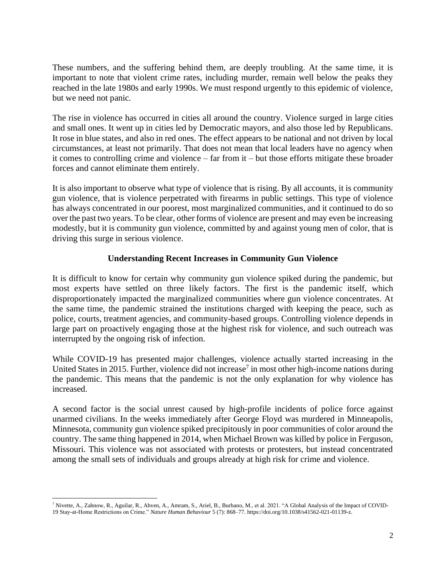These numbers, and the suffering behind them, are deeply troubling. At the same time, it is important to note that violent crime rates, including murder, remain well below the peaks they reached in the late 1980s and early 1990s. We must respond urgently to this epidemic of violence, but we need not panic.

The rise in violence has occurred in cities all around the country. Violence surged in large cities and small ones. It went up in cities led by Democratic mayors, and also those led by Republicans. It rose in blue states, and also in red ones. The effect appears to be national and not driven by local circumstances, at least not primarily. That does not mean that local leaders have no agency when it comes to controlling crime and violence – far from it – but those efforts mitigate these broader forces and cannot eliminate them entirely.

It is also important to observe what type of violence that is rising. By all accounts, it is community gun violence, that is violence perpetrated with firearms in public settings. This type of violence has always concentrated in our poorest, most marginalized communities, and it continued to do so over the past two years. To be clear, other forms of violence are present and may even be increasing modestly, but it is community gun violence, committed by and against young men of color, that is driving this surge in serious violence.

# **Understanding Recent Increases in Community Gun Violence**

It is difficult to know for certain why community gun violence spiked during the pandemic, but most experts have settled on three likely factors. The first is the pandemic itself, which disproportionately impacted the marginalized communities where gun violence concentrates. At the same time, the pandemic strained the institutions charged with keeping the peace, such as police, courts, treatment agencies, and community-based groups. Controlling violence depends in large part on proactively engaging those at the highest risk for violence, and such outreach was interrupted by the ongoing risk of infection.

While COVID-19 has presented major challenges, violence actually started increasing in the United States in 2015. Further, violence [did not increase](https://www.nature.com/articles/s41562-021-01139-z.pdf)<sup>7</sup> in most other high-income nations during the pandemic. This means that the pandemic is not the only explanation for why violence has increased.

A second factor is the social unrest caused by high-profile incidents of police force against unarmed civilians. In the weeks immediately after George Floyd was murdered in Minneapolis, Minnesota, community gun violence spiked precipitously in poor communities of color around the country. The same thing happened in 2014, when Michael Brown was killed by police in Ferguson, Missouri. This violence was not associated with protests or protesters, but instead concentrated among the small sets of individuals and groups already at high risk for crime and violence.

<sup>&</sup>lt;sup>7</sup> Nivette, A., Zahnow, R., Aguilar, R., Ahven, A., Amram, S., Ariel, B., Burbano, M., et al. 2021. "A Global Analysis of the Impact of COVID-19 Stay-at-Home Restrictions on Crime." *Nature Human Behaviour* 5 (7): 868–77[. https://doi.org/10.1038/s41562-021-01139-z.](https://doi.org/10.1038/s41562-021-01139-z)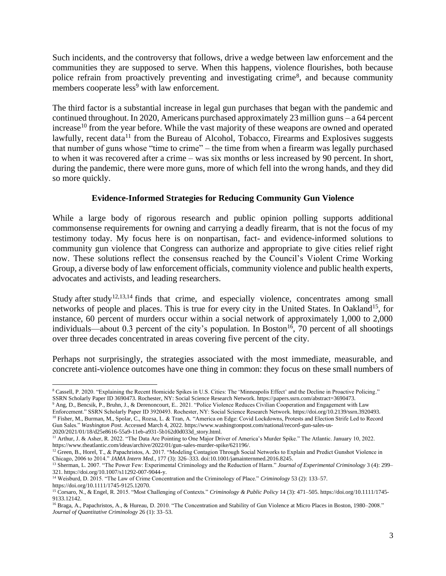Such incidents, and the controversy that follows, drive a wedge between law enforcement and the communities they are supposed to serve. When this happens, violence flourishes, both because [police refrain from proactively preventing and investigating crime](https://papers.ssrn.com/sol3/papers.cfm?abstract_id=3690473.)<sup>8</sup>, and because community members [cooperate less](https://papers.ssrn.com/sol3/papers.cfm?abstract_id=3920493)<sup>9</sup> with law enforcement.

The third factor is a substantial increase in legal gun purchases that began with the pandemic and continued throughout. In 2020, Americans purchased approximately 23 million guns – [a 64 percent](https://www.washingtonpost.com/national/record-gun-sales-us-2020/2021/01/18/d25e8616-55a9-11eb-a931-5b162d0d033d_story.html)  [increase](https://www.washingtonpost.com/national/record-gun-sales-us-2020/2021/01/18/d25e8616-55a9-11eb-a931-5b162d0d033d_story.html)<sup>10</sup> from the year before. While the vast majority of these weapons are owned and operated lawfully, [recent data](https://www.theatlantic.com/ideas/archive/2022/01/gun-sales-murder-spike/621196/)<sup>11</sup> from the Bureau of Alcohol, Tobacco, Firearms and Explosives suggests that number of guns whose "time to crime" – the time from when a firearm was legally purchased to when it was recovered after a crime – was six months or less increased by 90 percent. In short, during the pandemic, there were more guns, more of which fell into the wrong hands, and they did so more quickly.

# **Evidence-Informed Strategies for Reducing Community Gun Violence**

While a large body of rigorous research and public opinion polling supports additional commonsense requirements for owning and carrying a deadly firearm, that is not the focus of my testimony today. My focus here is on nonpartisan, fact- and evidence-informed solutions to community gun violence that Congress can authorize and appropriate to give cities relief right now. These solutions reflect the consensus reached by the Council's Violent Crime Working Group, a diverse body of law enforcement officials, community violence and public health experts, advocates and activists, and leading researchers.

[Study](https://jamanetwork.com/journals/jamainternalmedicine/fullarticle/2594804) [after](https://link.springer.com/article/10.1007/s11292-007-9044-y) [study](https://onlinelibrary.wiley.com/doi/abs/10.1111/1745-9125.12070)<sup>12,13,14</sup> finds that crime, and especially violence, concentrates among small networks of people and places. This is true for every city in the United States. In [Oakland](https://onlinelibrary.wiley.com/doi/abs/10.1111/1745-9133.12142)<sup>15</sup>, for instance, 60 percent of murders occur within a social network of approximately 1,000 to 2,000 individuals—about 0.3 percent of the city's population. In [Boston](https://link.springer.com/article/10.1007/s10940-009-9082-x#:~:text=In%20support%20of%20micro%2Dplaces,Boston%20during%20this%20time%20period.)<sup>16</sup>, 70 percent of all shootings over three decades concentrated in areas covering five percent of the city.

Perhaps not surprisingly, the strategies associated with the most immediate, measurable, and concrete anti-violence outcomes have one thing in common: they focus on these small numbers of

<sup>8</sup> Cassell, P. 2020. "Explaining the Recent Homicide Spikes in U.S. Cities: The 'Minneapolis Effect' and the Decline in Proactive Policing." SSRN Scholarly Paper ID 3690473. Rochester, NY: Social Science Research Network. https://papers.ssrn.com/abstract=3690473.

<sup>9</sup> Ang, D., Bencsik, P., Bruhn, J., & Derenoncourt, E.. 2021. "Police Violence Reduces Civilian Cooperation and Engagement with Law Enforcement." SSRN Scholarly Paper ID 3920493. Rochester, NY: Social Science Research Network. https://doi.org/10.2139/ssrn.3920493. <sup>10</sup> Fisher, M., Burman, M., Spolar, C., Rozsa, L. & Tran, A. "America on Edge: Covid Lockdowns, Protests and Election Strife Led to Record

Gun Sales." *Washington Post*. Accessed March 4, 2022. https://www.washingtonpost.com/national/record-gun-sales-us-2020/2021/01/18/d25e8616-55a9-11eb-a931-5b162d0d033d\_story.html.

<sup>11</sup> Arthur, J. & Asher, R. 2022. "The Data Are Pointing to One Major Driver of America's Murder Spike." The Atlantic. January 10, 2022. https://www.theatlantic.com/ideas/archive/2022/01/gun-sales-murder-spike/621196/.

<sup>&</sup>lt;sup>12</sup> Green, B., Horel, T., & Papachristos, A. 2017. "Modeling Contagion Through Social Networks to Explain and Predict Gunshot Violence in Chicago, 2006 to 2014." *JAMA Intern Med.*, 177 (3): 326–333. doi:10.1001/jamainternmed.2016.8245.

<sup>13</sup> Sherman, L. 2007. "The Power Few: Experimental Criminology and the Reduction of Harm." *Journal of Experimental Criminology* 3 (4): 299– 321. https://doi.org/10.1007/s11292-007-9044-y.

<sup>14</sup> Weisburd, D. 2015. "The Law of Crime Concentration and the Criminology of Place." *Criminology* 53 (2): 133–57. https://doi.org/10.1111/1745-9125.12070.

<sup>15</sup> Corsaro, N., & Engel, R. 2015. "Most Challenging of Contexts." *Criminology & Public Policy* 14 (3): 471–505. https://doi.org/10.1111/1745- 9133.12142.

<sup>&</sup>lt;sup>16</sup> Braga, A., Papachristos, A., & Hureau, D. 2010. "The Concentration and Stability of Gun Violence at Micro Places in Boston, 1980–2008." *Journal of Quantitative Criminology* 26 (1): 33–53.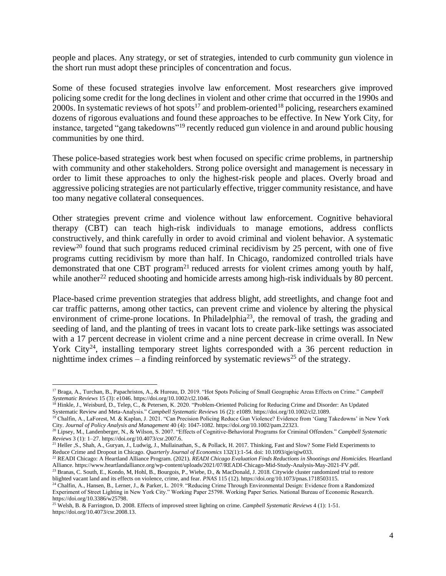people and places. Any strategy, or set of strategies, intended to curb community gun violence in the short run must adopt these principles of concentration and focus.

Some of these focused strategies involve law enforcement. Most researchers give improved policing some credit for the long declines in violent and other crime that occurred in the 1990s and 2000s. In systematic reviews of [hot spots](https://onlinelibrary.wiley.com/doi/full/10.1002/cl2.1046)<sup>17</sup> and [problem-oriented](https://onlinelibrary.wiley.com/doi/full/10.1002/cl2.1089)<sup>18</sup> policing, researchers examined dozens of rigorous evaluations and found these approaches to be effective. In New York City, for instance, targeted ["gang takedowns"](https://onlinelibrary.wiley.com/doi/10.1002/pam.22323)<sup>19</sup> recently reduced gun violence in and around public housing communities by one third.

These police-based strategies work best when focused on specific crime problems, in partnership with community and other stakeholders. Strong police oversight and management is necessary in order to limit these approaches to only the highest-risk people and places. Overly broad and aggressive policing strategies are not particularly effective, trigger community resistance, and have too many negative collateral consequences.

Other strategies prevent crime and violence without law enforcement. Cognitive behavioral therapy (CBT) can teach high-risk individuals to manage emotions, address conflicts constructively, and think carefully in order to avoid criminal and violent behavior. A [systematic](https://onlinelibrary.wiley.com/doi/full/10.4073/csr.2007.6)  [review](https://onlinelibrary.wiley.com/doi/full/10.4073/csr.2007.6)<sup>20</sup> found that such programs reduced criminal recidivism by 25 percent, with one of five programs cutting recidivism by more than half. In Chicago, randomized controlled trials have demonstrated that [one CBT program](https://urbanlabs.uchicago.edu/projects/becoming-a-man)<sup>21</sup> reduced arrests for violent crimes among youth by half, while [another](https://www.heartlandalliance.org/wp-content/uploads/2021/07/READI-Chicago-Mid-Study-Analysis-May-2021-FV.pdf)<sup>22</sup> reduced shooting and homicide arrests among high-risk individuals by 80 percent.

Place-based crime prevention strategies that address blight, add streetlights, and change foot and car traffic patterns, among other tactics, can prevent crime and violence by altering the physical environment of crime-prone locations. In [Philadelphia](https://www.pnas.org/content/115/12/2946)<sup>23</sup>, the removal of trash, the grading and seeding of land, and the planting of trees in vacant lots to create park-like settings was associated with a 17 percent decrease in violent crime and a nine percent decrease in crime overall. In [New](https://counciloncj.org/meeting-bulletin-4-community-based-responses/New%20York%20City)  [York City](https://counciloncj.org/meeting-bulletin-4-community-based-responses/New%20York%20City)<sup>24</sup>, installing temporary street lights corresponded with a 36 percent reduction in nighttime index crimes – a finding reinforced by [systematic reviews](https://onlinelibrary.wiley.com/doi/full/10.4073/csr.2008.13)<sup>25</sup> of the strategy.

<sup>17</sup> Braga, A., Turchan, B., Papachristos, A., & Hureau, D. 2019. "Hot Spots Policing of Small Geographic Areas Effects on Crime." *Campbell Systematic Reviews* 15 (3): e1046. https://doi.org/10.1002/cl2.1046.

<sup>18</sup> Hinkle, J., Weisburd, D., Telep, C., & Petersen, K. 2020. "Problem-Oriented Policing for Reducing Crime and Disorder: An Updated Systematic Review and Meta-Analysis." *Campbell Systematic Reviews* 16 (2): e1089. https://doi.org/10.1002/cl2.1089.

<sup>&</sup>lt;sup>19</sup> Chalfin, A., LaForest, M. & Kaplan, J. 2021. "Can Precision Policing Reduce Gun Violence? Evidence from 'Gang Takedowns' in New York City. *Journal of Policy Analysis and Management* 40 (4): 1047-1082[. https://doi.org/10.1002/pam.22323.](https://doi.org/10.1002/pam.22323)

<sup>20</sup> Lipsey, M., Landenberger, N., & Wilson, S. 2007. "Effects of Cognitive-Behavioral Programs for Criminal Offenders." *Campbell Systematic Reviews* 3 (1): 1–27. https://doi.org/10.4073/csr.2007.6.

<sup>&</sup>lt;sup>21</sup> Heller , S., Shah, A., Guryan, J., Ludwig, J., Mullainathan, S., & Pollack, H. 2017. Thinking, Fast and Slow? Some Field Experiments to Reduce Crime and Dropout in Chicago. *Quarterly Journal of Economics* 132(1):1-54. doi: 10.1093/qje/qjw033.

<sup>22</sup> READI Chicago: A Heartland Alliance Program. (2021). *READI Chicago Evaluation Finds Reductions in Shootings and Homicides.* Heartland Alliance. [https://www.heartlandalliance.org/wp-content/uploads/2021/07/READI-Chicago-Mid-Study-Analysis-May-2021-FV.pdf.](https://www.heartlandalliance.org/wp-content/uploads/2021/07/READI-Chicago-Mid-Study-Analysis-May-2021-FV.pdf) 

 $^{23}$  Branas, C. South, E., Kondo, M, Hohl, B., Bourgois, P., Wiebe, D., & MacDonald, J. 2018. Citywide cluster randomized trial to restore blighted vacant land and its effects on violence, crime, and fear. *PNAS* 115 (12)[. https://doi.org/10.1073/pnas.1718503115.](https://doi.org/10.1073/pnas.1718503115)

<sup>&</sup>lt;sup>24</sup> Chalfin, A., Hansen, B., Lerner, J., & Parker, L. 2019. "Reducing Crime Through Environmental Design: Evidence from a Randomized Experiment of Street Lighting in New York City." Working Paper 25798. Working Paper Series. National Bureau of Economic Research. [https://doi.org/10.3386/w25798.](https://doi.org/10.3386/w25798)

<sup>25</sup> Welsh, B. & Farrington, D. 2008. Effects of improved street lighting on crime. *Campbell Systematic Reviews* 4 (1): 1-51. [https://doi.org/10.4073/csr.2008.13.](https://doi.org/10.4073/csr.2008.13)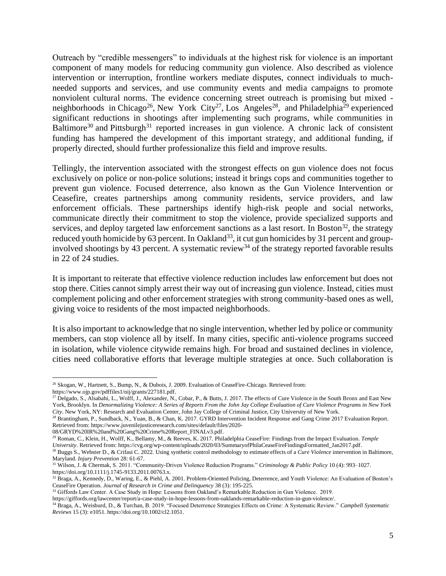Outreach by "credible messengers" to individuals at the highest risk for violence is an important component of many models for reducing community gun violence. Also described as violence intervention or interruption, frontline workers mediate disputes, connect individuals to muchneeded supports and services, and use community events and media campaigns to promote nonviolent cultural norms. The evidence concerning street outreach is promising but mixed - neighborhoods in [Chicago](https://www.ojp.gov/pdffiles1/nij/grants/227181.pdf)<sup>26</sup>, [New York City](https://johnjayrec.nyc/2017/10/02/cvinsobronxeastny/)<sup>27</sup>, [Los Angeles](https://www.juvenilejusticeresearch.com/sites/default/files/2020-08/GRYD%20IR%20and%20Gang%20Crime%20Report_FINALv3.pdf)<sup>28</sup>, and [Philadelphia](https://cvg.org/wp-content/uploads/2020/03/SummaryofPhilaCeaseFireFindingsFormatted_Jan2017.pdf)<sup>29</sup> experienced significant reductions in shootings after implementing such programs, while communities in [Baltimore](https://injuryprevention.bmj.com/content/early/2021/02/07/injuryprev-2020-044056)<sup>30</sup> and [Pittsburgh](https://onlinelibrary.wiley.com/doi/abs/10.1111/j.1745-9133.2011.00763.x)<sup>31</sup> reported increases in gun violence. A chronic lack of consistent funding has hampered the development of this important strategy, and additional funding, if properly directed, should further professionalize this field and improve results.

Tellingly, the intervention associated with the strongest effects on gun violence does not focus exclusively on police or non-police solutions; instead it brings cops and communities together to prevent gun violence. Focused deterrence, also known as the Gun Violence Intervention or Ceasefire, creates partnerships among community residents, service providers, and law enforcement officials. These partnerships identify high-risk people and social networks, communicate directly their commitment to stop the violence, provide specialized supports and services, and deploy targeted law enforcement sanctions as a last resort. In [Boston](https://www.d.umn.edu/~jmaahs/Correctional%20Assessment/Articles/Braga_problem_oriented%20policing_deterrence.pdf)<sup>32</sup>, the strategy reduced youth homicide by 63 percent. In [Oakland](https://giffords.org/lawcenter/report/a-case-study-in-hope-lessons-from-oaklands-remarkable-reduction-in-gun-violence/)<sup>33</sup>, it cut gun homicides by 31 percent and groupinvolved shootings by 43 percent. A [systematic review](https://onlinelibrary.wiley.com/doi/full/10.1002/cl2.1051)<sup>34</sup> of the strategy reported favorable results in 22 of 24 studies.

It is important to reiterate that effective violence reduction includes law enforcement but does not stop there. Cities cannot simply arrest their way out of increasing gun violence. Instead, cities must complement policing and other enforcement strategies with strong community-based ones as well, giving voice to residents of the most impacted neighborhoods.

It is also important to acknowledge that no single intervention, whether led by police or community members, can stop violence all by itself. In many cities, specific anti-violence programs succeed in isolation, while violence citywide remains high. For broad and sustained declines in violence, cities need collaborative efforts that leverage multiple strategies at once. Such collaboration is

<sup>33</sup> Giffords Law Center. A Case Study in Hope: Lessons from Oakland's Remarkable Reduction in Gun Violence. 2019.

<sup>26</sup> Skogan, W., Hartnett, S., Bump, N., & Dubois, J. 2009. Evaluation of CeaseFire-Chicago. Retrieved from: [https://www.ojp.gov/pdffiles1/nij/grants/227181.pdf.](https://www.ojp.gov/pdffiles1/nij/grants/227181.pdf)

<sup>&</sup>lt;sup>27</sup> Delgado, S., Alsabahi, L., Wolff, J., Alexander, N., Cobar, P., & Butts, J. 2017. The effects of Cure Violence in the South Bronx and East New York, Brooklyn. In *Denormalizing Violence: A Series of Reports From the John Jay College Evaluation of Cure Violence Programs in New York City*. New York, NY: Research and Evaluation Center, John Jay College of Criminal Justice, City University of New York.

<sup>&</sup>lt;sup>28</sup> Brantingham, P., Sundback, N., Yuan, B., & Chan, K. 2017. GYRD Intervention Incident Response and Gang Crime 2017 Evaluation Report. Retrieved from: [https://www.juvenilejusticeresearch.com/sites/default/files/2020-](https://www.juvenilejusticeresearch.com/sites/default/files/2020-08/GRYD%20IR%20and%20Gang%20Crime%20Report_FINALv3.pdf)

[<sup>08/</sup>GRYD%20IR%20and%20Gang%20Crime%20Report\\_FINALv3.pdf.](https://www.juvenilejusticeresearch.com/sites/default/files/2020-08/GRYD%20IR%20and%20Gang%20Crime%20Report_FINALv3.pdf)

<sup>29</sup> Roman, C., Klein, H., Wolff, K., Bellamy, M., & Reeves, K. 2017. Philadelphia CeaseFire: Findings from the Impact Evaluation. *Temple* 

*University*. Retrieved from[: https://cvg.org/wp-content/uploads/2020/03/SummaryofPhilaCeaseFireFindingsFormatted\\_Jan2017.pdf.](https://cvg.org/wp-content/uploads/2020/03/SummaryofPhilaCeaseFireFindingsFormatted_Jan2017.pdf)

<sup>30</sup> Buggs S., Webster D., & Crifasi C. 2022. Using synthetic control methodology to estimate effects of a *Cure Violence* intervention in Baltimore, Maryland. *Injury Prevention* 28: 61-67.

<sup>31</sup> Wilson, J. & Chermak, S. 2011. "Community-Driven Violence Reduction Programs." *Criminology & Public Policy* 10 (4): 993–1027. https://doi.org/10.1111/j.1745-9133.2011.00763.x.

 $32$  Braga, A., Kennedy, D., Waring, E., & Piehl, A. 2001. Problem-Oriented Policing, Deterrence, and Youth Violence: An Evaluation of Boston's CeaseFire Operation. *Journal of Research in Crime and Delinquency* 38 (3): 195-225.

[https://giffords.org/lawcenter/report/a-case-study-in-hope-lessons-from-oaklands-remarkable-reduction-in-gun-violence/.](https://giffords.org/lawcenter/report/a-case-study-in-hope-lessons-from-oaklands-remarkable-reduction-in-gun-violence/)

<sup>34</sup> Braga, A., Weisburd, D., & Turchan, B. 2019. "Focused Deterrence Strategies Effects on Crime: A Systematic Review." *Campbell Systematic Reviews* 15 (3): e1051. https://doi.org/10.1002/cl2.1051.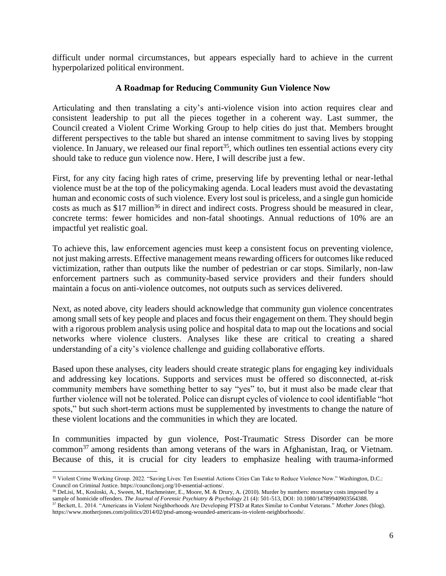difficult under normal circumstances, but appears especially hard to achieve in the current hyperpolarized political environment.

## **A Roadmap for Reducing Community Gun Violence Now**

Articulating and then translating a city's anti-violence vision into action requires clear and consistent leadership to put all the pieces together in a coherent way. Last summer, the Council created a Violent Crime Working Group to help cities do just that. Members brought different perspectives to the table but shared an intense commitment to saving lives by stopping violence. In January, we released our [final report](https://counciloncj.org/10-essential-actions/)<sup>35</sup>, which outlines ten essential actions every city should take to reduce gun violence now. Here, I will describe just a few.

First, for any city facing high rates of crime, preserving life by preventing lethal or near-lethal violence must be at the top of the policymaking agenda. Local leaders must avoid the devastating human and economic costs of such violence. Every lost soul is priceless, and a single gun homicide costs as much as [\\$17 million](https://www.tandfonline.com/doi/abs/10.1080/14789940903564388)<sup>36</sup> in direct and indirect costs. Progress should be measured in clear, concrete terms: fewer homicides and non-fatal shootings. Annual reductions of 10% are an impactful yet realistic goal.

To achieve this, law enforcement agencies must keep a consistent focus on preventing violence, not just making arrests. Effective management means rewarding officers for outcomes like reduced victimization, rather than outputs like the number of pedestrian or car stops. Similarly, non-law enforcement partners such as community-based service providers and their funders should maintain a focus on anti-violence outcomes, not outputs such as services delivered.

Next, as noted above, city leaders should acknowledge that community gun violence concentrates among small sets of key people and places and focus their engagement on them. They should begin with a rigorous problem analysis using police and hospital data to map out the locations and social networks where violence clusters. Analyses like these are critical to creating a shared understanding of a city's violence challenge and guiding collaborative efforts.

Based upon these analyses, city leaders should create strategic plans for engaging key individuals and addressing key locations. Supports and services must be offered so disconnected, at-risk community members have something better to say "yes" to, but it must also be made clear that further violence will not be tolerated. Police can disrupt cycles of violence to cool identifiable "hot spots," but such short-term actions must be supplemented by investments to change the nature of these violent locations and the communities in which they are located.

In communities impacted by gun violence, Post-Traumatic Stress Disorder can be [more](https://www.motherjones.com/politics/2014/02/ptsd-among-wounded-americans-in-violent-neighborhoods/)  [common](https://www.motherjones.com/politics/2014/02/ptsd-among-wounded-americans-in-violent-neighborhoods/)<sup>37</sup> among residents than among veterans of the wars in Afghanistan, Iraq, or Vietnam. Because of this, it is crucial for city leaders to emphasize healing with [trauma-informed](http://traumarecoverycenter.org/) 

<sup>35</sup> Violent Crime Working Group. 2022. "Saving Lives: Ten Essential Actions Cities Can Take to Reduce Violence Now." Washington, D.C.: Council on Criminal Justice[. https://counciloncj.org/10-essential-actions/.](https://counciloncj.org/10-essential-actions/)

<sup>&</sup>lt;sup>36</sup> DeLisi, M., Kosloski, A., Sween, M., Hachmeister, E., Moore, M. & Drury, A. (2010). Murder by numbers: monetary costs imposed by a sample of homicide offenders. *The Journal of Forensic Psychiatry & Psychology* 21 (4): 501-513, DOI: [10.1080/14789940903564388.](https://doi.org/10.1080/14789940903564388) <sup>37</sup> Beckett, L. 2014. "Americans in Violent Neighborhoods Are Developing PTSD at Rates Similar to Combat Veterans." *Mother Jones* (blog).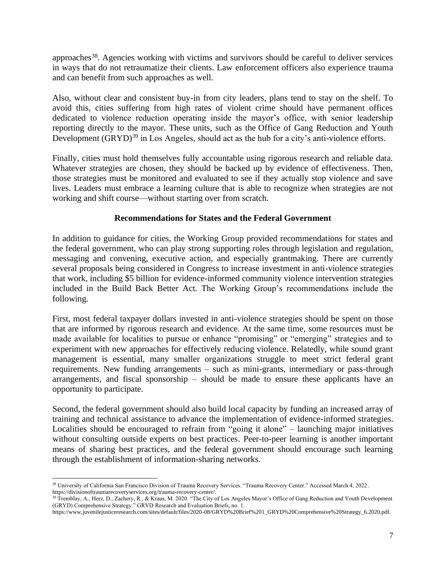[approaches](http://traumarecoverycenter.org/)<sup>38</sup>. Agencies working with victims and survivors should be careful to deliver services in ways that do not retraumatize their clients. Law enforcement officers also experience trauma and can benefit from such approaches as well.

Also, without clear and consistent buy-in from city leaders, plans tend to stay on the shelf. To avoid this, cities suffering from high rates of violent crime should have permanent offices dedicated to violence reduction operating inside the mayor's office, with senior leadership reporting directly to the mayor. These units, such as the [Office of Gang Reduction and Youth](https://www.juvenilejusticeresearch.com/sites/default/files/2020-08/GRYD%20Brief%201_GRYD%20Comprehensive%20Strategy_6.2020.pdf)  [Development \(GRYD\)](https://www.juvenilejusticeresearch.com/sites/default/files/2020-08/GRYD%20Brief%201_GRYD%20Comprehensive%20Strategy_6.2020.pdf)<sup>39</sup> in Los Angeles, should act as the hub for a city's anti-violence efforts.

Finally, cities must hold themselves fully accountable using rigorous research and reliable data. Whatever strategies are chosen, they should be backed up by evidence of effectiveness. Then, those strategies must be monitored and evaluated to see if they actually stop violence and save lives. Leaders must embrace a learning culture that is able to recognize when strategies are not working and shift course—without starting over from scratch.

### **Recommendations for States and the Federal Government**

In addition to guidance for cities, the Working Group provided recommendations for states and the federal government, who can play strong supporting roles through legislation and regulation, messaging and convening, executive action, and especially grantmaking. There are currently several proposals being considered in Congress to increase investment in anti-violence strategies that work, including \$5 billion for evidence-informed community violence intervention strategies included in the Build Back Better Act. The Working Group's recommendations include the following.

First, most federal taxpayer dollars invested in anti-violence strategies should be spent on those that are informed by rigorous research and evidence. At the same time, some resources must be made available for localities to pursue or enhance "promising" or "emerging" strategies and to experiment with new approaches for effectively reducing violence. Relatedly, while sound grant management is essential, many smaller organizations struggle to meet strict federal grant requirements. New funding arrangements – such as mini-grants, intermediary or pass-through arrangements, and fiscal sponsorship – should be made to ensure these applicants have an opportunity to participate.

Second, the federal government should also build local capacity by funding an increased array of training and technical assistance to advance the implementation of evidence-informed strategies. Localities should be encouraged to refrain from "going it alone" – launching major initiatives without consulting outside experts on best practices. Peer-to-peer learning is another important means of sharing best practices, and the federal government should encourage such learning through the establishment of information-sharing networks.

<sup>38</sup> University of California San Francisco Division of Trauma Recovery Services. "Trauma Recovery Center." Accessed March 4, 2022. [https://divisionoftraumarecoveryservices.org/trauma-recovery-center/.](https://divisionoftraumarecoveryservices.org/trauma-recovery-center/)

<sup>&</sup>lt;sup>39</sup> Tremblay, A., Herz, D., Zachery, R., & Kraus, M. 2020. "The City of Los Angeles Mayor's Office of Gang Reduction and Youth Development (GRYD) Comprehensive Strategy." GRYD Research and Evaluation Briefs, no. 1.

[https://www.juvenilejusticeresearch.com/sites/default/files/2020-08/GRYD%20Brief%201\\_GRYD%20Comprehensive%20Strategy\\_6.2020.pdf.](https://www.juvenilejusticeresearch.com/sites/default/files/2020-08/GRYD%20Brief%201_GRYD%20Comprehensive%20Strategy_6.2020.pdf)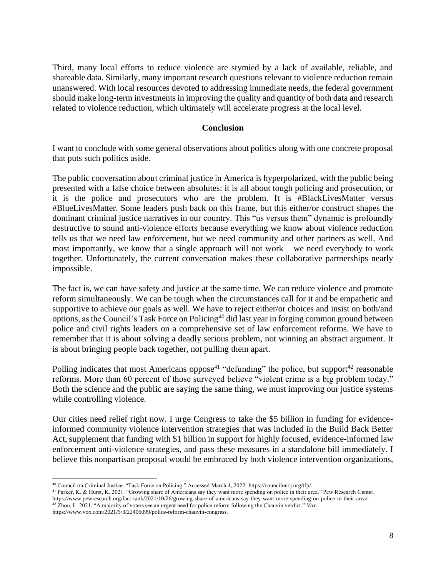Third, many local efforts to reduce violence are stymied by a lack of available, reliable, and shareable data. Similarly, many important research questions relevant to violence reduction remain unanswered. With local resources devoted to addressing immediate needs, the federal government should make long-term investments in improving the quality and quantity of both data and research related to violence reduction, which ultimately will accelerate progress at the local level.

### **Conclusion**

I want to conclude with some general observations about politics along with one concrete proposal that puts such politics aside.

The public conversation about criminal justice in America is hyperpolarized, with the public being presented with a false choice between absolutes: it is all about tough policing and prosecution, or it is the police and prosecutors who are the problem. It is #BlackLivesMatter versus #BlueLivesMatter. Some leaders push back on this frame, but this either/or construct shapes the dominant criminal justice narratives in our country. This "us versus them" dynamic is profoundly destructive to sound anti-violence efforts because everything we know about violence reduction tells us that we need law enforcement, but we need community and other partners as well. And most importantly, we know that a single approach will not work – we need everybody to work together. Unfortunately, the current conversation makes these collaborative partnerships nearly impossible.

The fact is, we can have safety and justice at the same time. We can reduce violence and promote reform simultaneously. We can be tough when the circumstances call for it and be empathetic and supportive to achieve our goals as well. We have to reject either/or choices and insist on both/and options, as the Council's [Task Force on](https://counciloncj.org/tfp/) Policing<sup>40</sup> did last year in forging common ground between police and civil rights leaders on a comprehensive set of law enforcement reforms. We have to remember that it is about solving a deadly serious problem, not winning an abstract argument. It is about bringing people back together, not pulling them apart.

Polling indicates that most Americans [oppose](https://www.pewresearch.org/fact-tank/2021/10/26/growing-share-of-americans-say-they-want-more-spending-on-police-in-their-area/)<sup>41</sup> "defunding" the police, but [support](https://www.vox.com/2021/5/3/22406099/police-reform-chauvin-congress)<sup>42</sup> reasonable reforms. More than 60 percent of those surveyed believe "violent crime is a big problem today." Both the science and the public are saying the same thing, we must improving our justice systems while controlling violence.

Our cities need relief right now. I urge Congress to take the \$5 billion in funding for evidenceinformed community violence intervention strategies that was included in the Build Back Better Act, supplement that funding with \$1 billion in support for highly focused, evidence-informed law enforcement anti-violence strategies, and pass these measures in a standalone bill immediately. I believe this nonpartisan proposal would be embraced by both violence intervention organizations,

<sup>40</sup> Council on Criminal Justice. "Task Force on Policing." Accessed March 4, 2022. https://counciloncj.org/tfp/.

<sup>41</sup> Parker, K. & Hurst, K. 2021. "Growing share of Americans say they want more spending on police in their area." Pew Research Center. https://www.pewresearch.org/fact-tank/2021/10/26/growing-share-of-americans-say-they-want-more-spending-on-police-in-their-area/.

<sup>42</sup> Zhou, L. 2021. "A majority of voters see an urgent need for police reform following the Chauvin verdict." *Vox*.

https://www.vox.com/2021/5/3/22406099/police-reform-chauvin-congress.